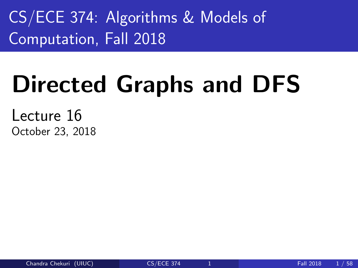<span id="page-0-0"></span>CS/ECE 374: Algorithms & Models of Computation, Fall 2018

# Directed Graphs and DFS

Lecture 16 October 23, 2018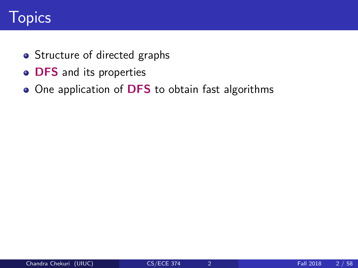# **Topics**

- Structure of directed graphs
- **o** DFS and its properties
- One application of DFS to obtain fast algorithms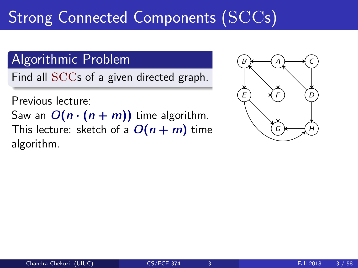# Strong Connected Components  $(\mathrm{SCCs})$

### Algorithmic Problem

Find all SCCs of a given directed graph.

Previous lecture:

Saw an  $O(n \cdot (n + m))$  time algorithm. This lecture: sketch of a  $O(n + m)$  time algorithm.

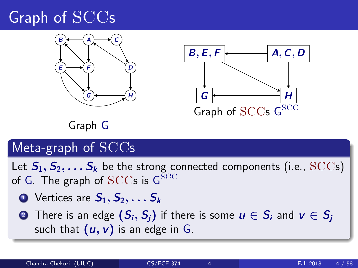# Graph of SCCs





Graph G

#### Meta-graph of SCCs

Let  $S_1, S_2, \ldots S_k$  be the strong connected components (i.e., SCCs) of G. The graph of  $\mathrm{SCCs}$  is  $\mathsf{G}^{\mathrm{SCC}}$ 

- $\bullet$  Vertices are  $S_1, S_2, \ldots S_k$
- **2** There is an edge  $(S_i, S_i)$  if there is some  $u \in S_i$  and  $v \in S_i$ such that  $(u, v)$  is an edge in G.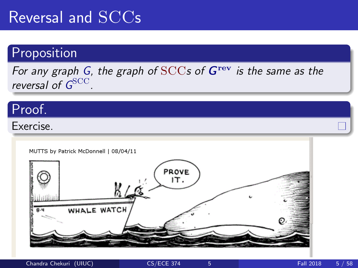# Reversal and SCCs

#### Proposition

For any graph G, the graph of  $SCCs$  of  $G<sup>rev</sup>$  is the same as the reversal of G<sup>SCC</sup>.

#### Proof.

#### Exercise.

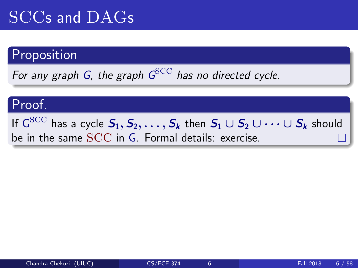# SCCs and DAGs

#### Proposition

For any graph G, the graph  $G^{\rm SCC}$  has no directed cycle.

#### Proof.

If  $\mathsf{G}^\text{SCC}$  has a cycle  $\mathcal{S}_1, \mathcal{S}_2, \ldots, \mathcal{S}_k$  then  $\mathcal{S}_1 \cup \mathcal{S}_2 \cup \cdots \cup \mathcal{S}_k$  should be in the same SCC in G. Formal details: exercise.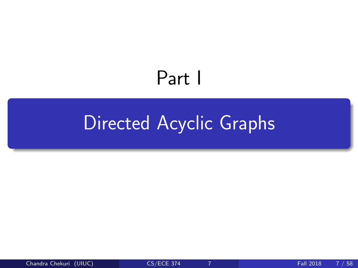# Part I

# <span id="page-6-0"></span>[Directed Acyclic Graphs](#page-6-0)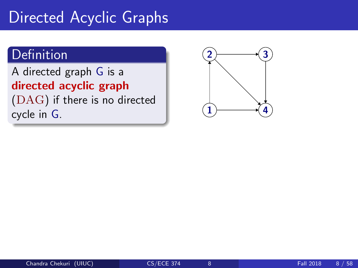# Directed Acyclic Graphs

#### Definition

A directed graph G is a directed acyclic graph

(DAG) if there is no directed cycle in G.

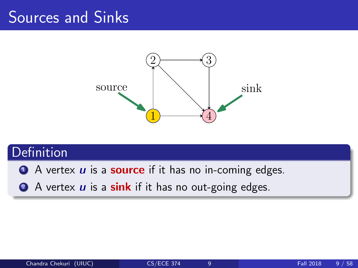# Sources and Sinks



### **Definition**

 $\bullet$  A vertex  $\boldsymbol{u}$  is a **source** if it has no in-coming edges.

2 A vertex  $\boldsymbol{u}$  is a sink if it has no out-going edges.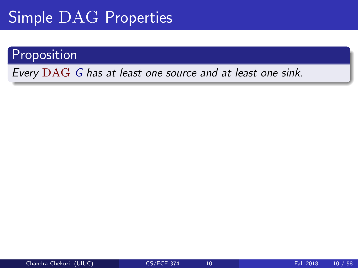# Simple DAG Properties

#### Proposition

Every DAG G has at least one source and at least one sink.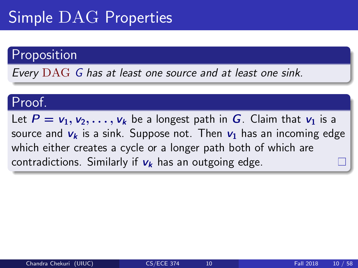# Simple DAG Properties

#### Proposition

Every DAG G has at least one source and at least one sink.

#### Proof.

Let  $P = v_1, v_2, \ldots, v_k$  be a longest path in G. Claim that  $v_1$  is a source and  $v_k$  is a sink. Suppose not. Then  $v_1$  has an incoming edge which either creates a cycle or a longer path both of which are contradictions. Similarly if  $v_k$  has an outgoing edge.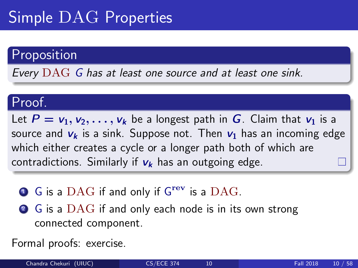# Simple DAG Properties

#### Proposition

Every DAG G has at least one source and at least one sink.

#### Proof.

Let  $P = v_1, v_2, \ldots, v_k$  be a longest path in G. Claim that  $v_1$  is a source and  $v_k$  is a sink. Suppose not. Then  $v_1$  has an incoming edge which either creates a cycle or a longer path both of which are contradictions. Similarly if  $v_k$  has an outgoing edge.

- $\bullet$  G is a DAG if and only if  $G^{\text{rev}}$  is a DAG.
- 2 G is a DAG if and only each node is in its own strong connected component.

Formal proofs: exercise.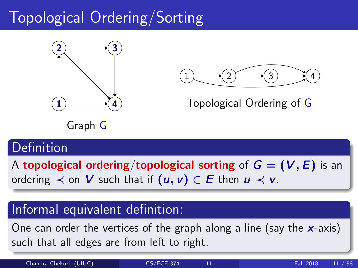# Topological Ordering/Sorting





Topological Ordering of G

Graph G

### Definition

A topological ordering/topological sorting of  $G = (V, E)$  is an ordering  $\prec$  on V such that if  $(u, v) \in E$  then  $u \prec v$ .

#### Informal equivalent definition:

One can order the vertices of the graph along a line (say the  $x$ -axis) such that all edges are from left to right.

Chandra Chekuri (UIUC) [CS/ECE 374](#page-0-0) 11 Fall 2018 11 / 58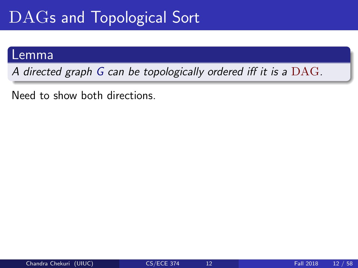# DAGs and Topological Sort

#### Lemma

A directed graph G can be topologically ordered iff it is a DAG.

Need to show both directions.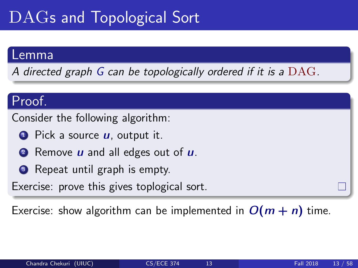# DAGs and Topological Sort

#### Lemma

A directed graph G can be topologically ordered if it is a  $\rm DAG$ .

#### Proof.

Consider the following algorithm:

- $\bullet$  Pick a source  $\boldsymbol{\mu}$ , output it.
- **2** Remove  $\boldsymbol{u}$  and all edges out of  $\boldsymbol{u}$ .
- **3** Repeat until graph is empty.

Exercise: prove this gives toplogical sort.

Exercise: show algorithm can be implemented in  $O(m + n)$  time.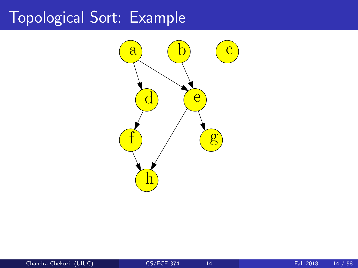# Topological Sort: Example

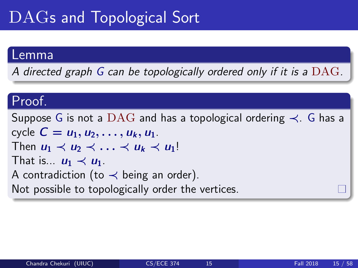# DAGs and Topological Sort

#### Lemma

A directed graph G can be topologically ordered only if it is a  $\rm DAG$ .

#### Proof.

Suppose G is not a DAG and has a topological ordering  $\prec$ . G has a cycle  $C = u_1, u_2, \ldots, u_k, u_1$ . Then  $u_1 \prec u_2 \prec \ldots \prec u_k \prec u_1!$ That is...  $u_1 \prec u_1$ . A contradiction (to  $\prec$  being an order). Not possible to topologically order the vertices.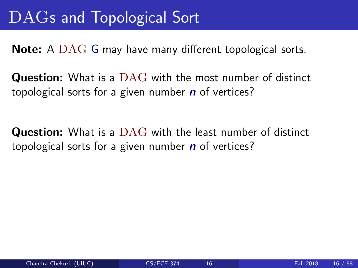# DAGs and Topological Sort

Note: A DAG G may have many different topological sorts.

**Question:** What is a DAG with the most number of distinct topological sorts for a given number  $n$  of vertices?

**Question:** What is a DAG with the least number of distinct topological sorts for a given number  $n$  of vertices?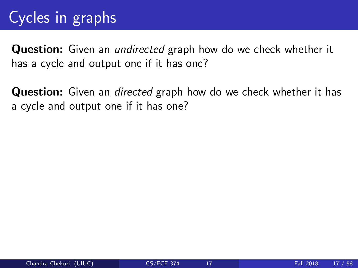# Cycles in graphs

**Question:** Given an *undirected* graph how do we check whether it has a cycle and output one if it has one?

**Question:** Given an *directed* graph how do we check whether it has a cycle and output one if it has one?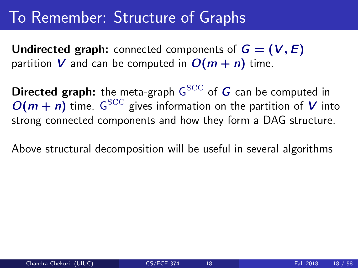# To Remember: Structure of Graphs

**Undirected graph:** connected components of  $G = (V, E)$ partition V and can be computed in  $O(m + n)$  time.

Directed graph: the meta-graph  ${\sf G}^{\rm SCC}$  of  $\boldsymbol{G}$  can be computed in  $O(m + n)$  time. G<sup>SCC</sup> gives information on the partition of V into strong connected components and how they form a DAG structure.

Above structural decomposition will be useful in several algorithms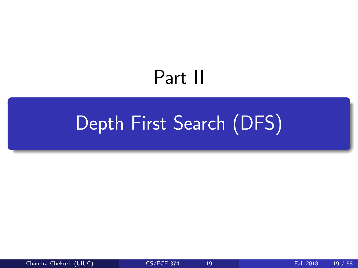# Part II

# <span id="page-20-0"></span>[Depth First Search \(DFS\)](#page-20-0)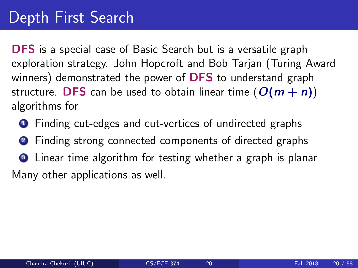**DFS** is a special case of Basic Search but is a versatile graph exploration strategy. John Hopcroft and Bob Tarjan (Turing Award winners) demonstrated the power of DFS to understand graph structure. DFS can be used to obtain linear time  $(O(m + n))$ algorithms for

- **1** Finding cut-edges and cut-vertices of undirected graphs
- <sup>2</sup> Finding strong connected components of directed graphs
- **3** Linear time algorithm for testing whether a graph is planar Many other applications as well.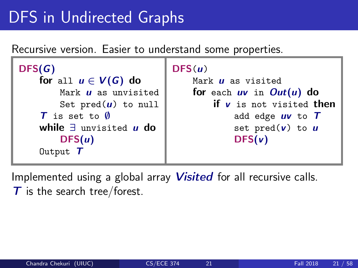# DFS in Undirected Graphs

Recursive version. Easier to understand some properties.

```
DFS(G)
    for all u \in V(G) do
         Mark \boldsymbol{\mu} as unvisited
         Set pred(u) to null
     T is set to \emptysetwhile \exists unvisited u do
         DFS(u)Output T
```

```
DFS(u)Mark \boldsymbol{\mu} as visited
    for each uv in Out(u) do
        if v is not visited then
             add edge uv to Tset pred(v) to uDFS(v)
```
Implemented using a global array *Visited* for all recursive calls.  $\tau$  is the search tree/forest.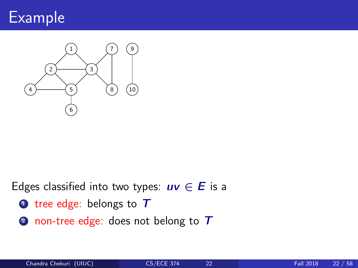

Connected Graphs



#### Edges classified into two types:  $uv \in E$  is a

- tree edge: belongs to T
- 2 non-tree edge: does not belong to T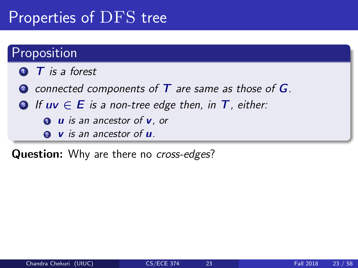# Properties of DFS tree

#### **Proposition**

- $\bullet$  **T** is a forest
- **2** connected components of  $T$  are same as those of  $G$ .
- **3** If  $uv \in E$  is a non-tree edge then, in  $T$ , either:
	- $\bullet$  u is an ancestor of  $\mathbf v$ , or
	- $\bullet$  v is an ancestor of  $\boldsymbol{u}$ .

Question: Why are there no cross-edges?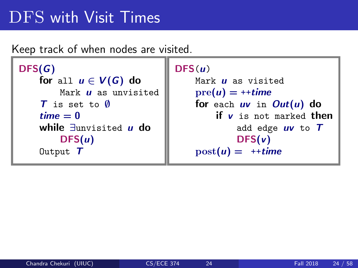# DFS with Visit Times

Keep track of when nodes are visited.

```
DFS(G)
    for all u \in V(G) do
         Mark \boldsymbol{\mu} as unvisited
    T is set to \emptysettime = 0while ∃unvisited u do
         DFS(u)Output T
```

```
DFS(u)
```

```
Mark \mu as visited
pre(u) = ++timefor each uv in Out(u) do
    if v is not marked then
        add edge uv to TDFS(v)post(u) = ++time
```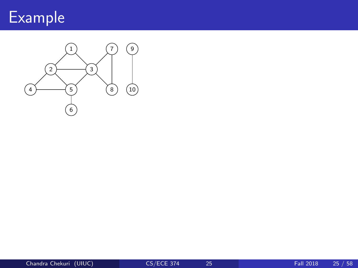

Connected Graphs

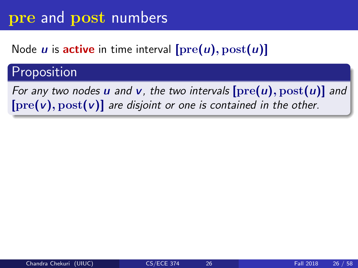#### Node  $u$  is active in time interval  $[pre(u), post(u)]$

#### Proposition

For any two nodes **u** and **v**, the two intervals  $[\text{pre}(u), \text{post}(u)]$  and  $[pre(v), post(v)]$  are disjoint or one is contained in the other.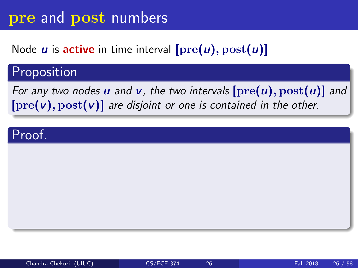#### Node *u* is **active** in time interval  $[\text{pre}(u), \text{post}(u)]$

#### Proposition

For any two nodes **u** and **v**, the two intervals  $[\text{pre}(u), \text{post}(u)]$  and  $[pre(v), post(v)]$  are disjoint or one is contained in the other.

#### Proof.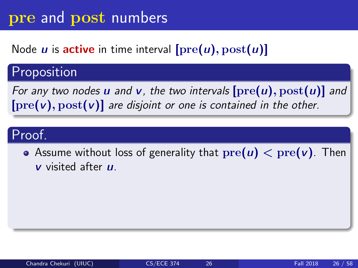#### Node  $u$  is active in time interval  $[pre(u), post(u)]$

### Proposition

For any two nodes **u** and **v**, the two intervals  $[\text{pre}(u), \text{post}(u)]$  and  $[pre(v), post(v)]$  are disjoint or one is contained in the other.

#### Proof.

• Assume without loss of generality that  $pre(u) < pre(v)$ . Then  *visited after*  $*u*$ *.*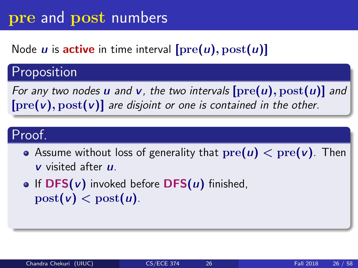#### Node  $u$  is active in time interval  $[pre(u), post(u)]$

### Proposition

For any two nodes **u** and **v**, the two intervals  $[\text{pre}(u), \text{post}(u)]$  and  $[pre(v), post(v)]$  are disjoint or one is contained in the other.

#### Proof.

- Assume without loss of generality that  $pre(u) < pre(v)$ . Then  *visited after*  $*u*$ *.*
- **•** If  $DFS(v)$  invoked before  $DFS(u)$  finished,  $post(v) < post(u)$ .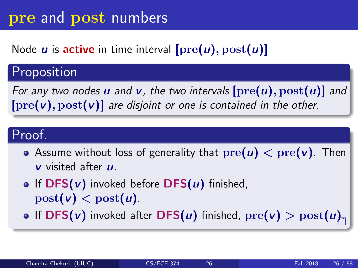### Node *u* is **active** in time interval  $[pre(u), post(u)]$

### Proposition

For any two nodes **u** and **v**, the two intervals  $[\text{pre}(u), \text{post}(u)]$  and  $[pre(v), post(v)]$  are disjoint or one is contained in the other.

#### Proof.

- Assume without loss of generality that  $pre(u) < pre(v)$ . Then  *visited after*  $*u*$ *.*
- **•** If  $DFS(v)$  invoked before  $DFS(u)$  finished,  $post(v) < post(u)$ .
- **•** If DFS(v) invoked after DFS(u) finished,  $\text{pre}(v) > \text{post}(u)$ .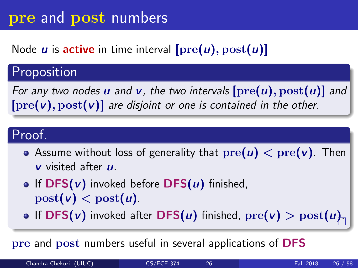### Node *u* is **active** in time interval  $[pre(u), post(u)]$

### Proposition

For any two nodes **u** and **v**, the two intervals  $[\text{pre}(u), \text{post}(u)]$  and  $[pre(v), post(v)]$  are disjoint or one is contained in the other.

#### Proof.

- Assume without loss of generality that  $pre(u) < pre(v)$ . Then  *visited after*  $*u*$ *.*
- If  $DFS(v)$  invoked before  $DFS(u)$  finished,  $post(v) < post(u)$ .
- **•** If DFS(*v*) invoked after DFS(*u*) finished,  $\text{pre}(v) > \text{post}(u)$ .

pre and post numbers useful in several applications of DFS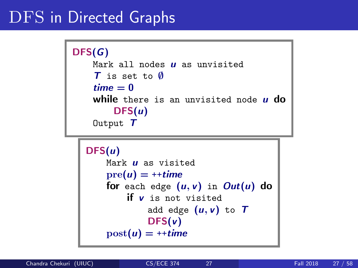# DFS in Directed Graphs

```
DFS(G)
    Mark all nodes \boldsymbol{u} as unvisited
    T is set to ∅
    time = 0while there is an unvisited node \boldsymbol{\mu} do
         DFS(u)Output T
```

```
DFS(u)Mark \boldsymbol{\mu} as visited
    pre(u) = ++timefor each edge (u, v) in Out(u) do
        if v is not visited
             add edge (u, v) to TDFS(v)post(u) = ++time
```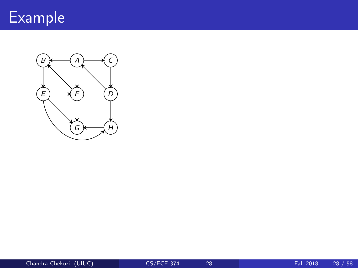

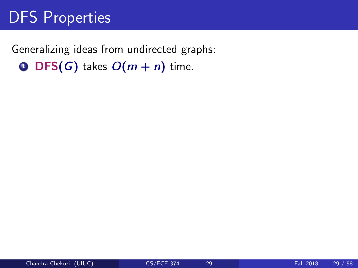# DFS Properties

Generalizing ideas from undirected graphs: **O** DFS(G) takes  $O(m + n)$  time.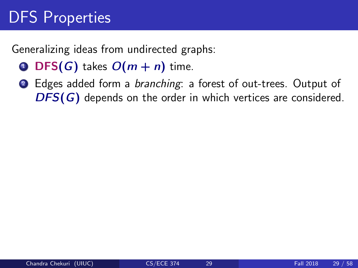Generalizing ideas from undirected graphs:

- **O** DFS(G) takes  $O(m + n)$  time.
- 2 Edges added form a branching: a forest of out-trees. Output of DFS(G) depends on the order in which vertices are considered.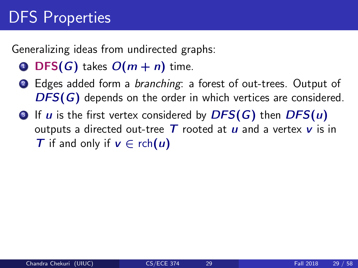Generalizing ideas from undirected graphs:

- **O** DFS(G) takes  $O(m + n)$  time.
- 2 Edges added form a *branching*: a forest of out-trees. Output of  $DFS(G)$  depends on the order in which vertices are considered.
- $\bullet$  If u is the first vertex considered by  $DFS(G)$  then  $DFS(u)$ outputs a directed out-tree  $T$  rooted at  $u$  and a vertex  $v$  is in T if and only if  $v \in \text{rch}(u)$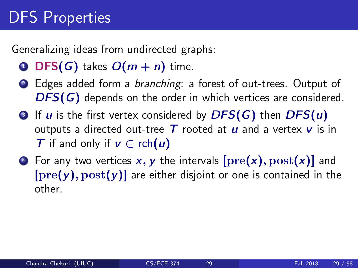Generalizing ideas from undirected graphs:

- **O** DFS(G) takes  $O(m + n)$  time.
- 2 Edges added form a *branching*: a forest of out-trees. Output of DFS(G) depends on the order in which vertices are considered.
- $\bullet$  If u is the first vertex considered by  $DFS(G)$  then  $DFS(u)$ outputs a directed out-tree  $T$  rooted at  $u$  and a vertex  $v$  is in T if and only if  $v \in \text{rch}(u)$
- $\bullet$  For any two vertices x, y the intervals  $[pre(x), post(x)]$  and  $[pre(y), post(y)]$  are either disjoint or one is contained in the other.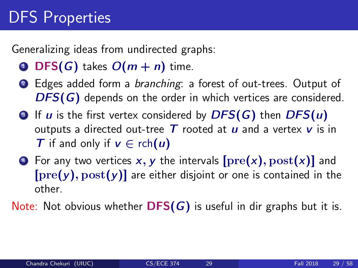Generalizing ideas from undirected graphs:

- **O** DFS(G) takes  $O(m + n)$  time.
- 2 Edges added form a *branching*: a forest of out-trees. Output of DFS(G) depends on the order in which vertices are considered.
- $\bullet$  If u is the first vertex considered by  $DFS(G)$  then  $DFS(u)$ outputs a directed out-tree  $T$  rooted at  $u$  and a vertex  $v$  is in T if and only if  $v \in \text{rch}(u)$
- $\bullet$  For any two vertices x, y the intervals  $[pre(x), post(x)]$  and  $[pre(y), post(y)]$  are either disjoint or one is contained in the other.

Note: Not obvious whether  $DFS(G)$  is useful in dir graphs but it is.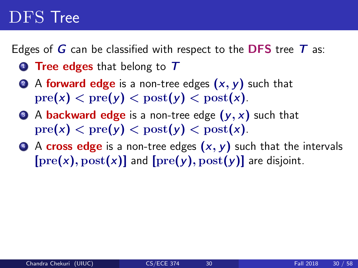## DFS Tree

Edges of  $G$  can be classified with respect to the DFS tree  $T$  as:

- **1** Tree edges that belong to  $T$
- 2 A forward edge is a non-tree edges  $(x, y)$  such that  $pre(x) < pre(y) < post(y) < post(x)$ .
- $\bullet$  A backward edge is a non-tree edge  $(y, x)$  such that  $pre(x) < pre(y) < post(y) < post(x)$ .
- $\bullet$  A cross edge is a non-tree edges  $(x, y)$  such that the intervals  $[pre(x), post(x)]$  and  $[pre(y), post(y)]$  are disjoint.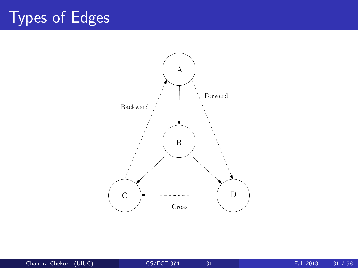## Types of Edges

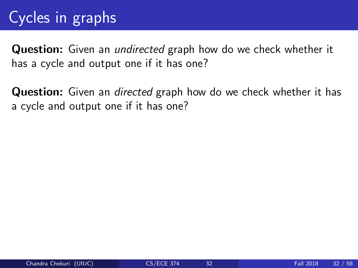## Cycles in graphs

**Question:** Given an *undirected* graph how do we check whether it has a cycle and output one if it has one?

**Question:** Given an *directed* graph how do we check whether it has a cycle and output one if it has one?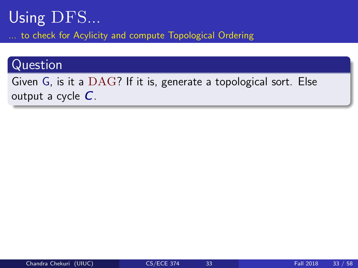### Using DFS... to check for Acylicity and compute Topological Ordering

#### Question

Given G, is it a DAG? If it is, generate a topological sort. Else output a cycle  $C$ .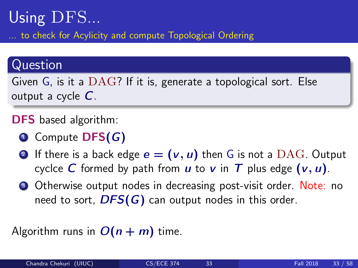### Using DFS... to check for Acylicity and compute Topological Ordering

#### Question

Given G, is it a DAG? If it is, generate a topological sort. Else output a cycle  $C$ .

DFS based algorithm:

- $\bullet$  Compute DFS( $G$ )
- **2** If there is a back edge  $e = (v, u)$  then G is not a DAG. Output cyclce C formed by path from  $u$  to  $v$  in T plus edge  $(v, u)$ .
- **3** Otherwise output nodes in decreasing post-visit order. Note: no need to sort,  $DFS(G)$  can output nodes in this order.

#### Algorithm runs in  $O(n + m)$  time.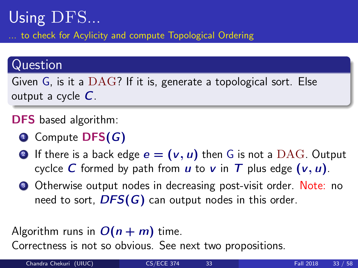### Using DFS... to check for Acylicity and compute Topological Ordering

#### Question

Given G, is it a DAG? If it is, generate a topological sort. Else output a cycle  $C$ .

DFS based algorithm:

- $\bullet$  Compute DFS( $G$ )
- **2** If there is a back edge  $e = (v, u)$  then G is not a DAG. Output cyclce C formed by path from u to v in T plus edge  $(v, u)$ .
- **3** Otherwise output nodes in decreasing post-visit order. Note: no need to sort,  $DFS(G)$  can output nodes in this order.
- Algorithm runs in  $O(n + m)$  time.

Correctness is not so obvious. See next two propositions.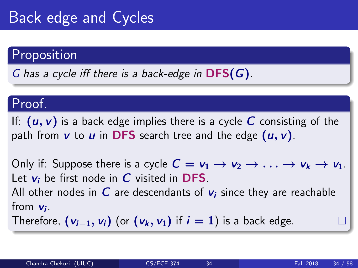## Back edge and Cycles

#### Proposition

G has a cycle iff there is a back-edge in  $DFS(G)$ .

#### Proof.

If:  $(u, v)$  is a back edge implies there is a cycle C consisting of the path from  $v$  to  $u$  in DFS search tree and the edge  $(u, v)$ .

Only if: Suppose there is a cycle  $C = v_1 \rightarrow v_2 \rightarrow \ldots \rightarrow v_k \rightarrow v_1$ . Let  $v_i$  be first node in  $C$  visited in DFS. All other nodes in  $C$  are descendants of  $v_i$  since they are reachable from  $v_i$ .

Therefore,  $(v_{i-1}, v_i)$  (or  $(v_k, v_1)$  if  $i = 1$ ) is a back edge.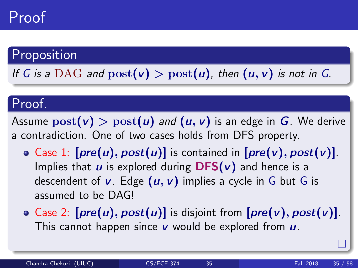## Proof

#### Proposition

If G is a DAG and  $post(v) > post(u)$ , then  $(u, v)$  is not in G.

#### Proof.

Assume  $post(v) > post(u)$  and  $(u, v)$  is an edge in G. We derive a contradiction. One of two cases holds from DFS property.

- Case 1:  $[pre(u), post(u)]$  is contained in  $[pre(v), post(v)]$ . Implies that  $u$  is explored during  $DFS(v)$  and hence is a descendent of  $v$ . Edge  $(u, v)$  implies a cycle in G but G is assumed to be DAG!
- Case 2:  $[pre(u), post(u)]$  is disjoint from  $[pre(v), post(v)]$ . This cannot happen since  $v$  would be explored from  $u$ .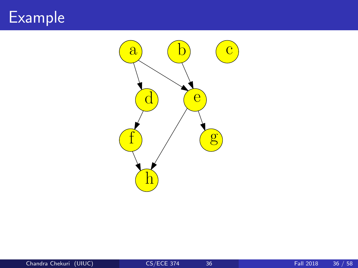## Example

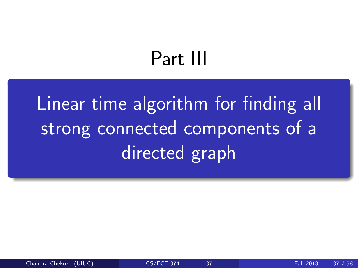# Part III

<span id="page-49-0"></span>[Linear time algorithm for finding all](#page-49-0) [strong connected components of a](#page-49-0) [directed graph](#page-49-0)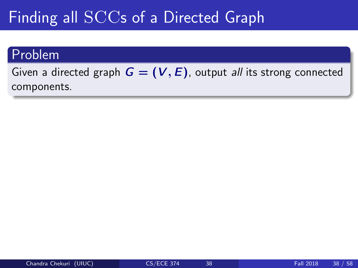## Finding all SCCs of a Directed Graph

#### Problem

Given a directed graph  $G = (V, E)$ , output all its strong connected components.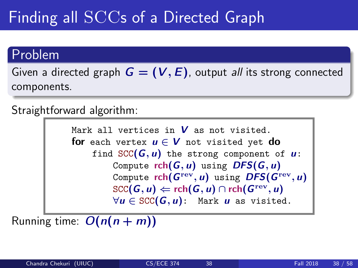## Finding all SCCs of a Directed Graph

#### Problem

Given a directed graph  $G = (V, E)$ , output all its strong connected components.

Straightforward algorithm:

Mark all vertices in  $V$  as not visited. for each vertex  $u \in V$  not visited yet do find  $SCC(G, u)$  the strong component of  $u$ : Compute  $rch(G, u)$  using  $DFS(G, u)$ Compute  ${\mathsf{rch}}(\bm{G}^{\rm rev},\bm{u})$  using  $\bm{DFS}(\bm{G}^{\rm rev},\bm{u})$  $\operatorname{SCC}(\bm{G}, \bm{u}) \Leftarrow \operatorname{rch}(\bm{G}, \bm{u}) \cap \operatorname{rch}(\bm{G}^{\operatorname{rev}}, \bm{u})$  $\forall u \in \text{SCC}(G, u)$ : Mark u as visited.

Running time:  $O(n(n+m))$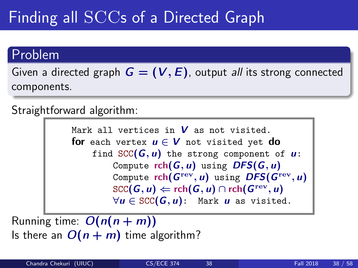## Finding all SCCs of a Directed Graph

#### Problem

Given a directed graph  $G = (V, E)$ , output all its strong connected components.

Straightforward algorithm:

Mark all vertices in  $V$  as not visited. for each vertex  $u \in V$  not visited yet do find  $SCC(G, u)$  the strong component of  $u$ : Compute  $rch(G, u)$  using  $DFS(G, u)$ Compute  ${\mathsf{rch}}(\bm{G}^{\rm rev},\bm{u})$  using  $\bm{DFS}(\bm{G}^{\rm rev},\bm{u})$  $\operatorname{SCC}(\bm{G}, \bm{u}) \Leftarrow \operatorname{rch}(\bm{G}, \bm{u}) \cap \operatorname{rch}(\bm{G}^{\operatorname{rev}}, \bm{u})$  $\forall u \in \text{SCC}(G, u)$ : Mark u as visited.

Running time:  $O(n(n+m))$ Is there an  $O(n + m)$  time algorithm?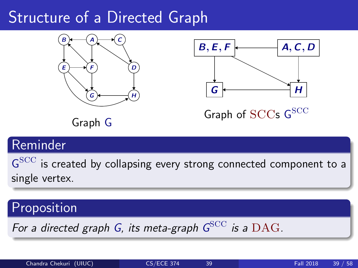## Structure of a Directed Graph





Graph of SCCs G<sup>SCC</sup>

Graph G

### Reminder

 $\mathsf{G}^{\text{SCC}}$  is created by collapsing every strong connected component to a single vertex.

### Proposition

For a directed graph G, its meta-graph  $G^{\rm SCC}$  is a  $\rm DAG.$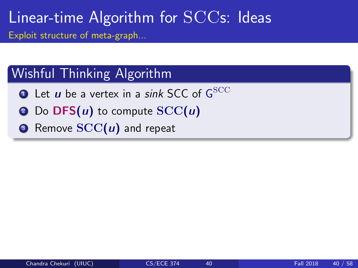#### Wishful Thinking Algorithm

- $\bullet$  Let  $\pmb{u}$  be a vertex in a *sink* SCC of  $\mathsf{G}^{\text{SCC}}$
- Do  $DFS(u)$  to compute  $SCC(u)$
- $\odot$  Remove  $SCC(u)$  and repeat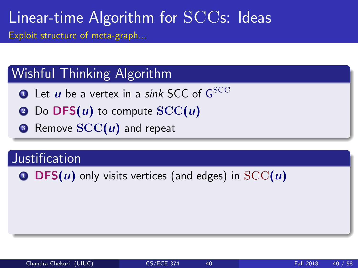### Wishful Thinking Algorithm

- $\bullet$  Let  $\pmb{u}$  be a vertex in a *sink* SCC of  $\mathsf{G}^{\text{SCC}}$
- Do  $\text{DFS}(u)$  to compute  $SCC(u)$
- $\odot$  Remove  $SCC(u)$  and repeat

#### **Justification**

**O** DFS(u) only visits vertices (and edges) in  $SCC(u)$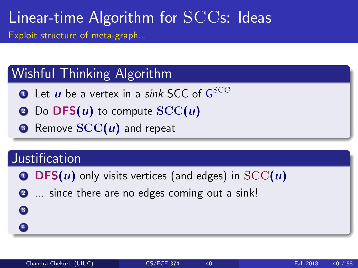### Wishful Thinking Algorithm

- $\bullet$  Let  $\pmb{u}$  be a vertex in a *sink* SCC of  $\mathsf{G}^{\text{SCC}}$
- $\odot$  Do DFS(*u*) to compute  $SCC(u)$
- $\odot$  Remove  $SCC(u)$  and repeat

#### **Justification**

3 4

- **O** DFS(u) only visits vertices (and edges) in  $SCC(u)$
- 2 ... since there are no edges coming out a sink!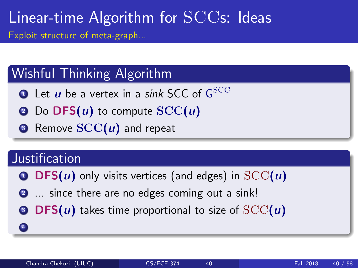### Wishful Thinking Algorithm

- $\bullet$  Let  $\pmb{u}$  be a vertex in a *sink* SCC of  $\mathsf{G}^{\text{SCC}}$
- $\odot$  Do DFS(*u*) to compute  $SCC(u)$
- $\odot$  Remove  $SCC(u)$  and repeat

#### **Justification**

4

- **O** DFS(u) only visits vertices (and edges) in  $SCC(u)$
- 2 ... since there are no edges coming out a sink!
- **DFS(u)** takes time proportional to size of  $SCC(u)$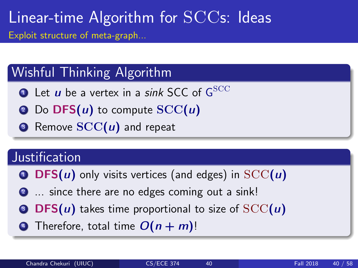### Wishful Thinking Algorithm

- $\bullet$  Let  $\pmb{u}$  be a vertex in a *sink* SCC of  $\mathsf{G}^{\text{SCC}}$
- **2** Do  $\text{DFS}(u)$  to compute  $SCC(u)$
- $\odot$  Remove  $SCC(u)$  and repeat

#### **Justification**

- **O** DFS(u) only visits vertices (and edges) in  $SCC(u)$
- 2 ... since there are no edges coming out a sink!
- **3 DFS(u)** takes time proportional to size of  $SCC(u)$
- $\bullet$  Therefore, total time  $O(n + m)!$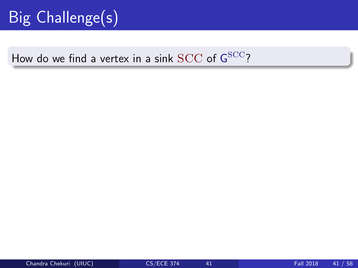## Big Challenge(s)

### How do we find a vertex in a sink  $\mathrm{SCC}$  of  $\mathsf{G}^{\mathrm{SCC}}$ ?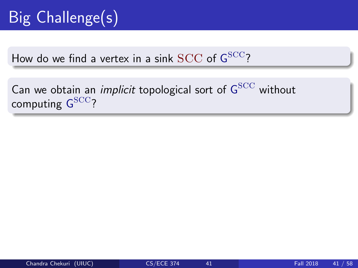## Big Challenge(s)

How do we find a vertex in a sink  $\mathrm{SCC}$  of  $\mathsf{G}^{\mathrm{SCC}}$ ?

Can we obtain an *implicit* topological sort of  ${\sf G}^{\rm SCC}$  without computing  $\mathsf{G}^{\rm SCC}$ ?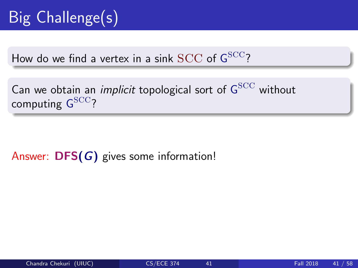How do we find a vertex in a sink  $\mathrm{SCC}$  of  $\mathsf{G}^{\mathrm{SCC}}$ ?

Can we obtain an *implicit* topological sort of  ${\sf G}^{\rm SCC}$  without computing  $\mathsf{G}^{\rm SCC}$ ?

Answer: DFS(G) gives some information!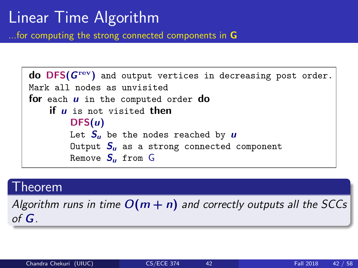## Linear Time Algorithm

...for computing the strong connected components in G

```
\text{d}o DFS(G^{\text{rev}}) and output vertices in decreasing post order.
Mark all nodes as unvisited
for each u in the computed order do
    if \mu is not visited then
         DFS(u)Let S_{\mu} be the nodes reached by \muOutput S_{\mu} as a strong connected component
         Remove S_{\mu} from G
```
#### Theorem

Algorithm runs in time  $O(m + n)$  and correctly outputs all the SCCs of G.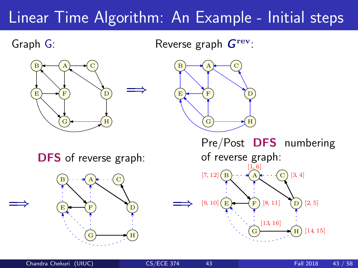## Linear Time Algorithm: An Example - Initial steps

Graph G:

=⇒

Reverse graph  $G^{\text{rev}}$ :





DFS of reverse graph:



Pre/Post DFS numbering of reverse graph:  $[1, 6]$ [7, 12]  $[9, 10]$   $E$   $\rightarrow$   $F$   $[8, 11]$ [13, 16] [2, 5] [3, 4]  $E \rightarrow F$  $\mathbf{B}$  )  $\cdots$   $\mathbf{A}$   $\mathbf{A}$   $\cdots$  (C D A

G

=⇒

[14, 15]

H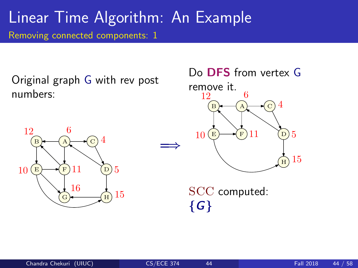Original graph G with rev post numbers:





SCC computed:  ${G}$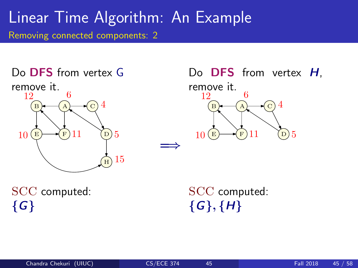



SCC computed:  ${G}$ 

SCC computed:  $\{G\}, \{H\}$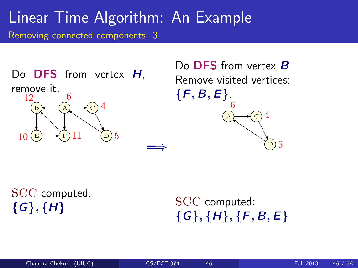Do **DFS** from vertex H, remove it.  $E \rightarrow$  $B \longleftarrow (A \longleftarrow C$ D A 11 12  $10 \times \text{F} 11 \quad \textcircled{b} 5$ 4

Do **DFS** from vertex **B** Remove visited vertices:  $\{F, B, E\}.$ C D A 6 5 4

SCC computed:  ${G}, {H}$ 

SCC computed:  $\{G\}, \{H\}, \{F, B, E\}$ 

=⇒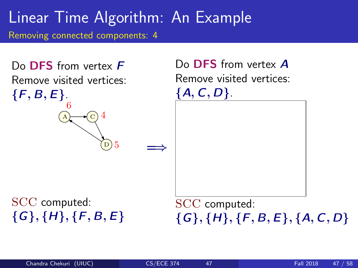

 ${G}, {H}, {F, B, E}$ 

 ${G}, {H}, {F, B, E}, {A, C, D}$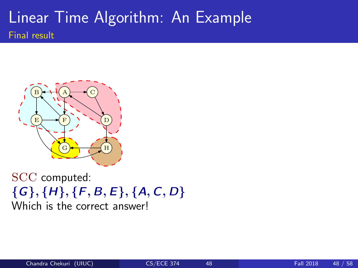### Linear Time Algorithm: An Example Final result



SCC computed:  $\{G\}, \{H\}, \{F, B, E\}, \{A, C, D\}$ Which is the correct answer!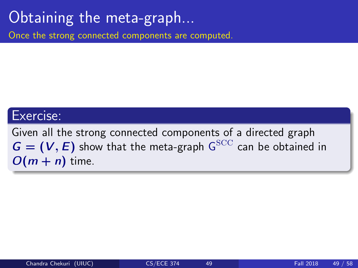## Obtaining the meta-graph...

Once the strong connected components are computed.

#### Exercise:

Given all the strong connected components of a directed graph  $G = (V, E)$  show that the meta-graph  $G<sup>SCC</sup>$  can be obtained in  $O(m + n)$  time.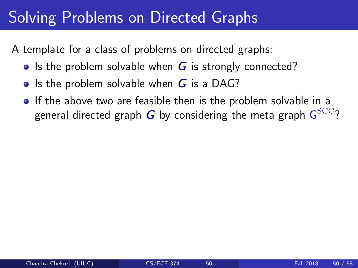## Solving Problems on Directed Graphs

A template for a class of problems on directed graphs:

- Is the problem solvable when  $G$  is strongly connected?
- Is the problem solvable when  $G$  is a DAG?
- **If the above two are feasible then is the problem solvable in a** general directed graph  $\boldsymbol{G}$  by considering the meta graph  $\mathsf{G}^{\text{SCC}}$ ?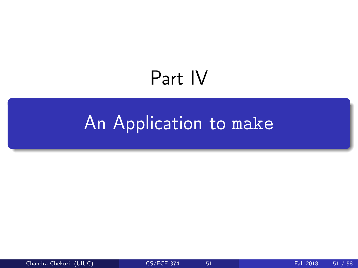# Part IV

## <span id="page-71-0"></span>[An Application to](#page-71-0) make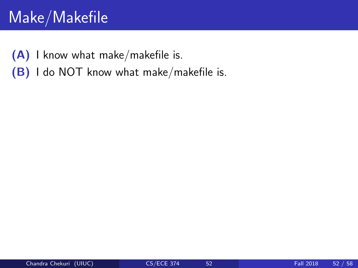## Make/Makefile

(A) I know what make/makefile is.

(B) I do NOT know what make/makefile is.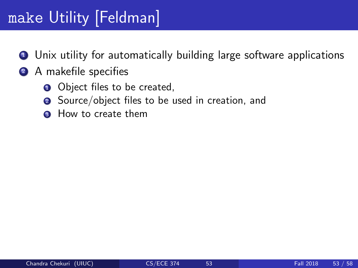# make Utility [Feldman]

- **1** Unix utility for automatically building large software applications
- 2 A makefile specifies
	- **1** Object files to be created,
	- **2** Source/object files to be used in creation, and
	- **3** How to create them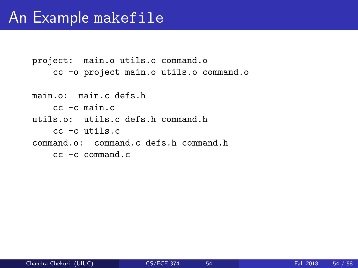project: main.o utils.o command.o cc -o project main.o utils.o command.o

main.o: main.c defs.h cc -c main.c utils.o: utils.c defs.h command.h cc -c utils.c command.o: command.c defs.h command.h cc -c command.c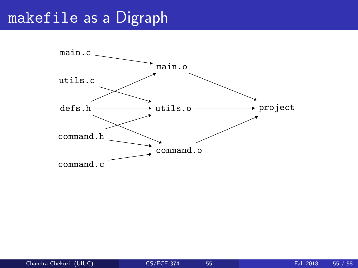#### makefile as a Digraph

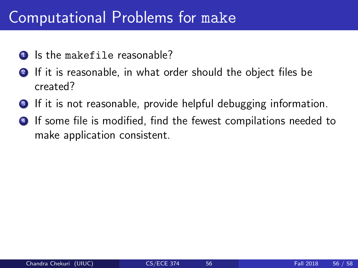### Computational Problems for make

- **1** Is the makefile reasonable?
- **2** If it is reasonable, in what order should the object files be created?
- **3** If it is not reasonable, provide helpful debugging information.
- **4** If some file is modified, find the fewest compilations needed to make application consistent.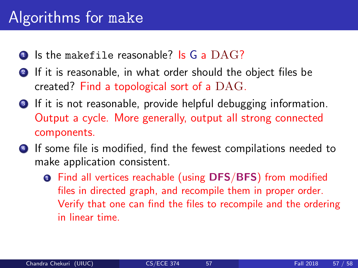### Algorithms for make

- $\bullet$  Is the makefile reasonable? Is G a  $\text{DAG?}$
- **2** If it is reasonable, in what order should the object files be created? Find a topological sort of a DAG.
- <sup>3</sup> If it is not reasonable, provide helpful debugging information. Output a cycle. More generally, output all strong connected components.
- <sup>4</sup> If some file is modified, find the fewest compilations needed to make application consistent.
	- **Q** Find all vertices reachable (using DFS/BFS) from modified files in directed graph, and recompile them in proper order. Verify that one can find the files to recompile and the ordering in linear time.